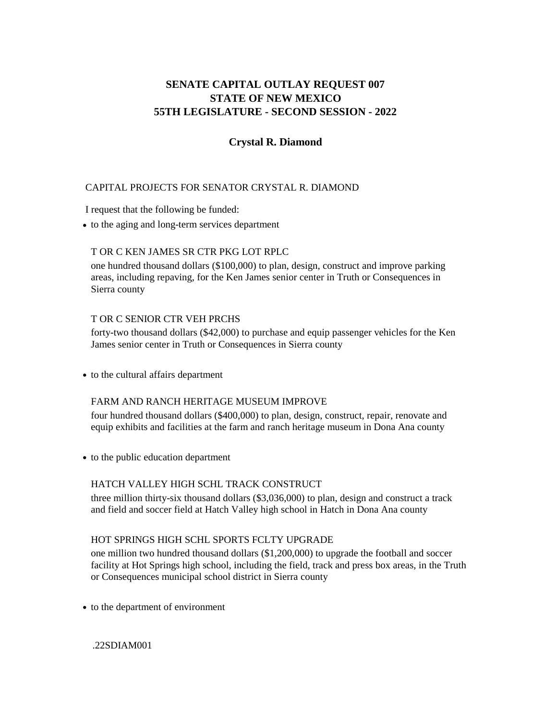# **STATE OF NEW MEXICO 55TH LEGISLATURE - SECOND SESSION - 2022 SENATE CAPITAL OUTLAY REQUEST 007**

# **Crystal R. Diamond**

## CAPITAL PROJECTS FOR SENATOR CRYSTAL R. DIAMOND

I request that the following be funded:

**•** to the aging and long-term services department

#### T OR C KEN JAMES SR CTR PKG LOT RPLC

one hundred thousand dollars (\$100,000) to plan, design, construct and improve parking areas, including repaving, for the Ken James senior center in Truth or Consequences in Sierra county

#### T OR C SENIOR CTR VEH PRCHS

forty-two thousand dollars (\$42,000) to purchase and equip passenger vehicles for the Ken James senior center in Truth or Consequences in Sierra county

**•** to the cultural affairs department

#### FARM AND RANCH HERITAGE MUSEUM IMPROVE

four hundred thousand dollars (\$400,000) to plan, design, construct, repair, renovate and equip exhibits and facilities at the farm and ranch heritage museum in Dona Ana county

**•** to the public education department

#### HATCH VALLEY HIGH SCHL TRACK CONSTRUCT

three million thirty-six thousand dollars (\$3,036,000) to plan, design and construct a track and field and soccer field at Hatch Valley high school in Hatch in Dona Ana county

#### HOT SPRINGS HIGH SCHL SPORTS FCLTY UPGRADE

one million two hundred thousand dollars (\$1,200,000) to upgrade the football and soccer facility at Hot Springs high school, including the field, track and press box areas, in the Truth or Consequences municipal school district in Sierra county

**•** to the department of environment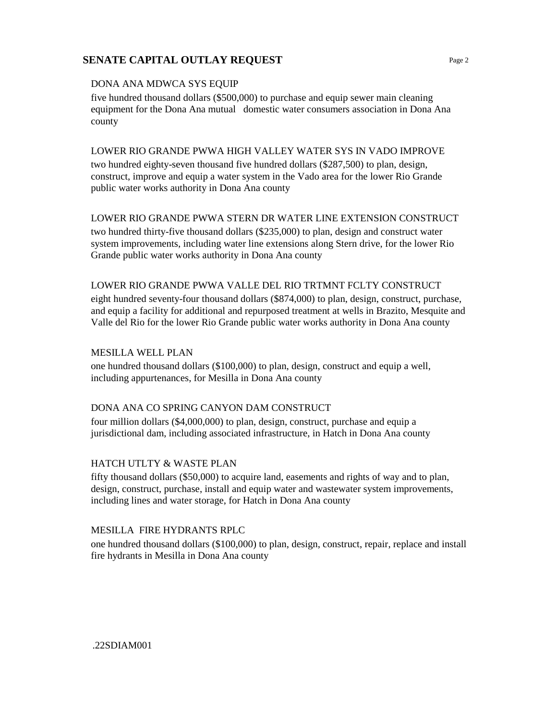### DONA ANA MDWCA SYS EQUIP

five hundred thousand dollars (\$500,000) to purchase and equip sewer main cleaning equipment for the Dona Ana mutual domestic water consumers association in Dona Ana county

### LOWER RIO GRANDE PWWA HIGH VALLEY WATER SYS IN VADO IMPROVE

two hundred eighty-seven thousand five hundred dollars (\$287,500) to plan, design, construct, improve and equip a water system in the Vado area for the lower Rio Grande public water works authority in Dona Ana county

## LOWER RIO GRANDE PWWA STERN DR WATER LINE EXTENSION CONSTRUCT

two hundred thirty-five thousand dollars (\$235,000) to plan, design and construct water system improvements, including water line extensions along Stern drive, for the lower Rio Grande public water works authority in Dona Ana county

## LOWER RIO GRANDE PWWA VALLE DEL RIO TRTMNT FCLTY CONSTRUCT

eight hundred seventy-four thousand dollars (\$874,000) to plan, design, construct, purchase, and equip a facility for additional and repurposed treatment at wells in Brazito, Mesquite and Valle del Rio for the lower Rio Grande public water works authority in Dona Ana county

## MESILLA WELL PLAN

one hundred thousand dollars (\$100,000) to plan, design, construct and equip a well, including appurtenances, for Mesilla in Dona Ana county

## DONA ANA CO SPRING CANYON DAM CONSTRUCT

four million dollars (\$4,000,000) to plan, design, construct, purchase and equip a jurisdictional dam, including associated infrastructure, in Hatch in Dona Ana county

## HATCH UTLTY & WASTE PLAN

fifty thousand dollars (\$50,000) to acquire land, easements and rights of way and to plan, design, construct, purchase, install and equip water and wastewater system improvements, including lines and water storage, for Hatch in Dona Ana county

## MESILLA FIRE HYDRANTS RPLC

one hundred thousand dollars (\$100,000) to plan, design, construct, repair, replace and install fire hydrants in Mesilla in Dona Ana county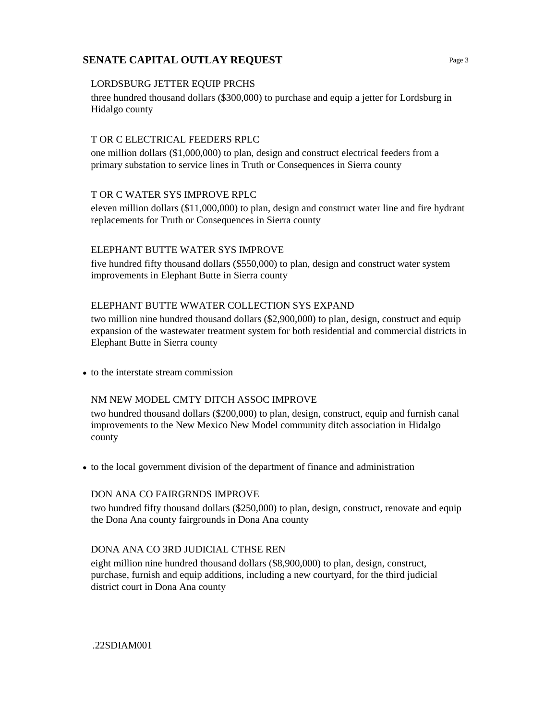#### LORDSBURG JETTER EQUIP PRCHS

three hundred thousand dollars (\$300,000) to purchase and equip a jetter for Lordsburg in Hidalgo county

#### T OR C ELECTRICAL FEEDERS RPLC

one million dollars (\$1,000,000) to plan, design and construct electrical feeders from a primary substation to service lines in Truth or Consequences in Sierra county

## T OR C WATER SYS IMPROVE RPLC

eleven million dollars (\$11,000,000) to plan, design and construct water line and fire hydrant replacements for Truth or Consequences in Sierra county

#### ELEPHANT BUTTE WATER SYS IMPROVE

five hundred fifty thousand dollars (\$550,000) to plan, design and construct water system improvements in Elephant Butte in Sierra county

#### ELEPHANT BUTTE WWATER COLLECTION SYS EXPAND

two million nine hundred thousand dollars (\$2,900,000) to plan, design, construct and equip expansion of the wastewater treatment system for both residential and commercial districts in Elephant Butte in Sierra county

• to the interstate stream commission

#### NM NEW MODEL CMTY DITCH ASSOC IMPROVE

two hundred thousand dollars (\$200,000) to plan, design, construct, equip and furnish canal improvements to the New Mexico New Model community ditch association in Hidalgo county

**•** to the local government division of the department of finance and administration

#### DON ANA CO FAIRGRNDS IMPROVE

two hundred fifty thousand dollars (\$250,000) to plan, design, construct, renovate and equip the Dona Ana county fairgrounds in Dona Ana county

#### DONA ANA CO 3RD JUDICIAL CTHSE REN

eight million nine hundred thousand dollars (\$8,900,000) to plan, design, construct, purchase, furnish and equip additions, including a new courtyard, for the third judicial district court in Dona Ana county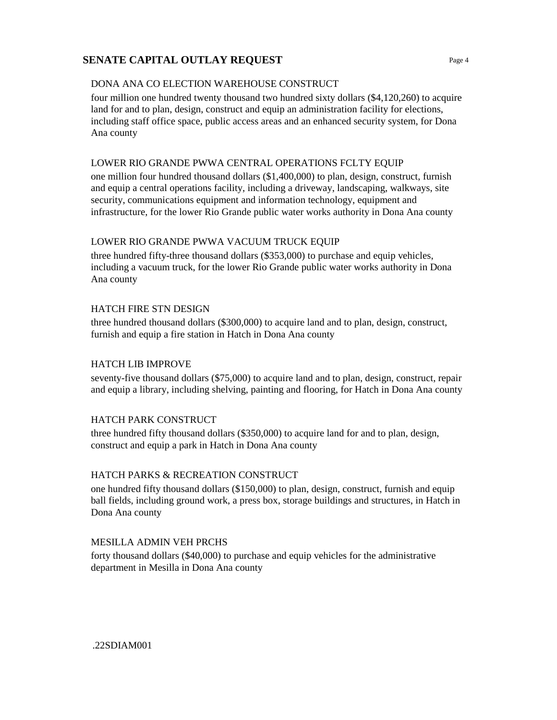### DONA ANA CO ELECTION WAREHOUSE CONSTRUCT

four million one hundred twenty thousand two hundred sixty dollars (\$4,120,260) to acquire land for and to plan, design, construct and equip an administration facility for elections, including staff office space, public access areas and an enhanced security system, for Dona Ana county

### LOWER RIO GRANDE PWWA CENTRAL OPERATIONS FCLTY EQUIP

one million four hundred thousand dollars (\$1,400,000) to plan, design, construct, furnish and equip a central operations facility, including a driveway, landscaping, walkways, site security, communications equipment and information technology, equipment and infrastructure, for the lower Rio Grande public water works authority in Dona Ana county

## LOWER RIO GRANDE PWWA VACUUM TRUCK EQUIP

three hundred fifty-three thousand dollars (\$353,000) to purchase and equip vehicles, including a vacuum truck, for the lower Rio Grande public water works authority in Dona Ana county

## HATCH FIRE STN DESIGN

three hundred thousand dollars (\$300,000) to acquire land and to plan, design, construct, furnish and equip a fire station in Hatch in Dona Ana county

## HATCH LIB IMPROVE

seventy-five thousand dollars (\$75,000) to acquire land and to plan, design, construct, repair and equip a library, including shelving, painting and flooring, for Hatch in Dona Ana county

## HATCH PARK CONSTRUCT

three hundred fifty thousand dollars (\$350,000) to acquire land for and to plan, design, construct and equip a park in Hatch in Dona Ana county

## HATCH PARKS & RECREATION CONSTRUCT

one hundred fifty thousand dollars (\$150,000) to plan, design, construct, furnish and equip ball fields, including ground work, a press box, storage buildings and structures, in Hatch in Dona Ana county

#### MESILLA ADMIN VEH PRCHS

forty thousand dollars (\$40,000) to purchase and equip vehicles for the administrative department in Mesilla in Dona Ana county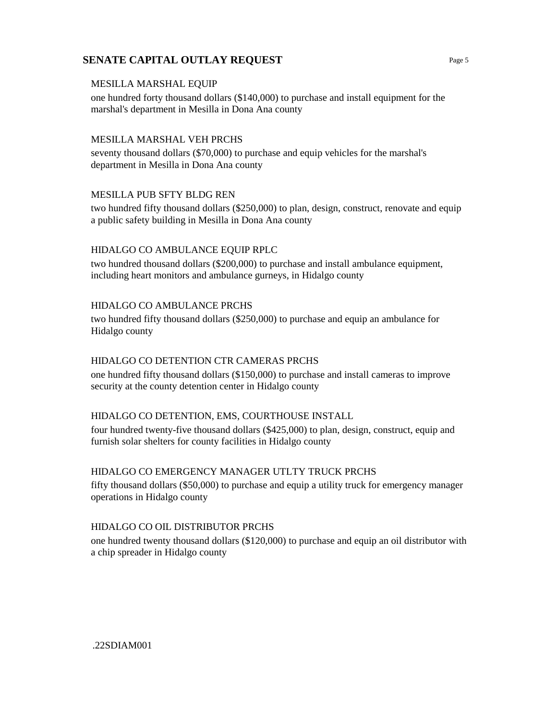#### MESILLA MARSHAL EQUIP

one hundred forty thousand dollars (\$140,000) to purchase and install equipment for the marshal's department in Mesilla in Dona Ana county

#### MESILLA MARSHAL VEH PRCHS

seventy thousand dollars (\$70,000) to purchase and equip vehicles for the marshal's department in Mesilla in Dona Ana county

#### MESILLA PUB SFTY BLDG REN

two hundred fifty thousand dollars (\$250,000) to plan, design, construct, renovate and equip a public safety building in Mesilla in Dona Ana county

#### HIDALGO CO AMBULANCE EQUIP RPLC

two hundred thousand dollars (\$200,000) to purchase and install ambulance equipment, including heart monitors and ambulance gurneys, in Hidalgo county

#### HIDALGO CO AMBULANCE PRCHS

two hundred fifty thousand dollars (\$250,000) to purchase and equip an ambulance for Hidalgo county

#### HIDALGO CO DETENTION CTR CAMERAS PRCHS

one hundred fifty thousand dollars (\$150,000) to purchase and install cameras to improve security at the county detention center in Hidalgo county

#### HIDALGO CO DETENTION, EMS, COURTHOUSE INSTALL

four hundred twenty-five thousand dollars (\$425,000) to plan, design, construct, equip and furnish solar shelters for county facilities in Hidalgo county

#### HIDALGO CO EMERGENCY MANAGER UTLTY TRUCK PRCHS

fifty thousand dollars (\$50,000) to purchase and equip a utility truck for emergency manager operations in Hidalgo county

#### HIDALGO CO OIL DISTRIBUTOR PRCHS

one hundred twenty thousand dollars (\$120,000) to purchase and equip an oil distributor with a chip spreader in Hidalgo county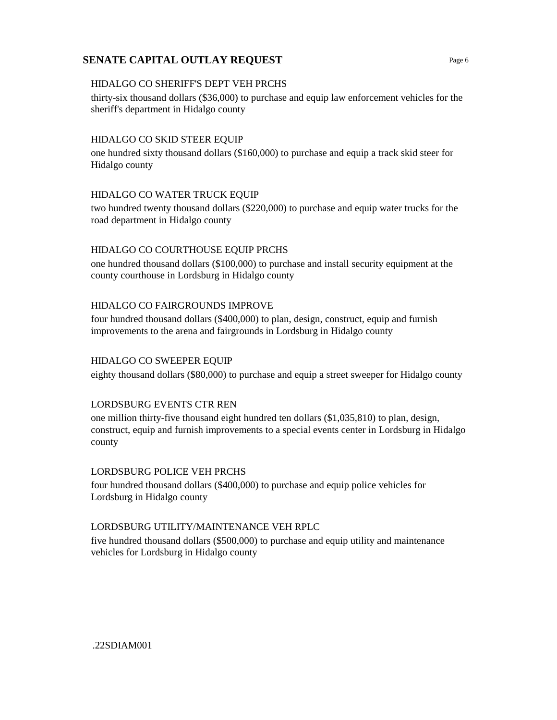#### HIDALGO CO SHERIFF'S DEPT VEH PRCHS

thirty-six thousand dollars (\$36,000) to purchase and equip law enforcement vehicles for the sheriff's department in Hidalgo county

### HIDALGO CO SKID STEER EQUIP

one hundred sixty thousand dollars (\$160,000) to purchase and equip a track skid steer for Hidalgo county

## HIDALGO CO WATER TRUCK EQUIP

two hundred twenty thousand dollars (\$220,000) to purchase and equip water trucks for the road department in Hidalgo county

## HIDALGO CO COURTHOUSE EQUIP PRCHS

one hundred thousand dollars (\$100,000) to purchase and install security equipment at the county courthouse in Lordsburg in Hidalgo county

#### HIDALGO CO FAIRGROUNDS IMPROVE

four hundred thousand dollars (\$400,000) to plan, design, construct, equip and furnish improvements to the arena and fairgrounds in Lordsburg in Hidalgo county

### HIDALGO CO SWEEPER EQUIP

eighty thousand dollars (\$80,000) to purchase and equip a street sweeper for Hidalgo county

#### LORDSBURG EVENTS CTR REN

one million thirty-five thousand eight hundred ten dollars (\$1,035,810) to plan, design, construct, equip and furnish improvements to a special events center in Lordsburg in Hidalgo county

#### LORDSBURG POLICE VEH PRCHS

four hundred thousand dollars (\$400,000) to purchase and equip police vehicles for Lordsburg in Hidalgo county

#### LORDSBURG UTILITY/MAINTENANCE VEH RPLC

five hundred thousand dollars (\$500,000) to purchase and equip utility and maintenance vehicles for Lordsburg in Hidalgo county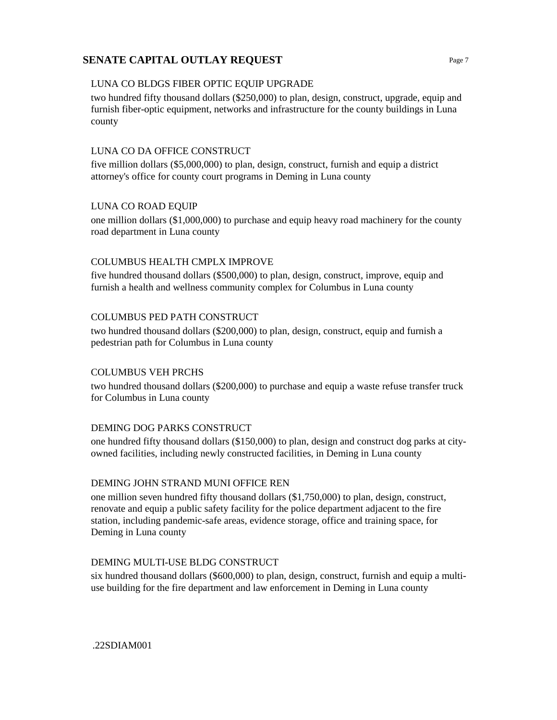### LUNA CO BLDGS FIBER OPTIC EQUIP UPGRADE

two hundred fifty thousand dollars (\$250,000) to plan, design, construct, upgrade, equip and furnish fiber-optic equipment, networks and infrastructure for the county buildings in Luna county

#### LUNA CO DA OFFICE CONSTRUCT

five million dollars (\$5,000,000) to plan, design, construct, furnish and equip a district attorney's office for county court programs in Deming in Luna county

#### LUNA CO ROAD EQUIP

one million dollars (\$1,000,000) to purchase and equip heavy road machinery for the county road department in Luna county

## COLUMBUS HEALTH CMPLX IMPROVE

five hundred thousand dollars (\$500,000) to plan, design, construct, improve, equip and furnish a health and wellness community complex for Columbus in Luna county

## COLUMBUS PED PATH CONSTRUCT

two hundred thousand dollars (\$200,000) to plan, design, construct, equip and furnish a pedestrian path for Columbus in Luna county

#### COLUMBUS VEH PRCHS

two hundred thousand dollars (\$200,000) to purchase and equip a waste refuse transfer truck for Columbus in Luna county

#### DEMING DOG PARKS CONSTRUCT

one hundred fifty thousand dollars (\$150,000) to plan, design and construct dog parks at cityowned facilities, including newly constructed facilities, in Deming in Luna county

#### DEMING JOHN STRAND MUNI OFFICE REN

one million seven hundred fifty thousand dollars (\$1,750,000) to plan, design, construct, renovate and equip a public safety facility for the police department adjacent to the fire station, including pandemic-safe areas, evidence storage, office and training space, for Deming in Luna county

#### DEMING MULTI-USE BLDG CONSTRUCT

six hundred thousand dollars (\$600,000) to plan, design, construct, furnish and equip a multiuse building for the fire department and law enforcement in Deming in Luna county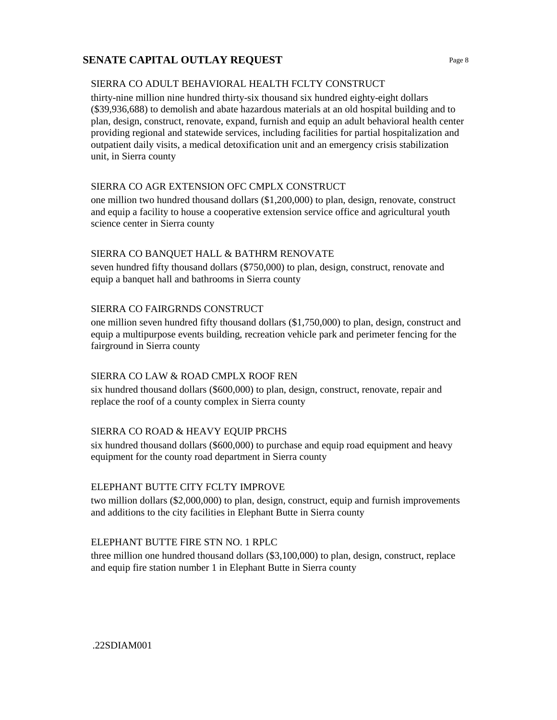## SIERRA CO ADULT BEHAVIORAL HEALTH FCLTY CONSTRUCT

thirty-nine million nine hundred thirty-six thousand six hundred eighty-eight dollars (\$39,936,688) to demolish and abate hazardous materials at an old hospital building and to plan, design, construct, renovate, expand, furnish and equip an adult behavioral health center providing regional and statewide services, including facilities for partial hospitalization and outpatient daily visits, a medical detoxification unit and an emergency crisis stabilization unit, in Sierra county

## SIERRA CO AGR EXTENSION OFC CMPLX CONSTRUCT

one million two hundred thousand dollars (\$1,200,000) to plan, design, renovate, construct and equip a facility to house a cooperative extension service office and agricultural youth science center in Sierra county

## SIERRA CO BANQUET HALL & BATHRM RENOVATE

seven hundred fifty thousand dollars (\$750,000) to plan, design, construct, renovate and equip a banquet hall and bathrooms in Sierra county

## SIERRA CO FAIRGRNDS CONSTRUCT

one million seven hundred fifty thousand dollars (\$1,750,000) to plan, design, construct and equip a multipurpose events building, recreation vehicle park and perimeter fencing for the fairground in Sierra county

## SIERRA CO LAW & ROAD CMPLX ROOF REN

six hundred thousand dollars (\$600,000) to plan, design, construct, renovate, repair and replace the roof of a county complex in Sierra county

## SIERRA CO ROAD & HEAVY EQUIP PRCHS

six hundred thousand dollars (\$600,000) to purchase and equip road equipment and heavy equipment for the county road department in Sierra county

#### ELEPHANT BUTTE CITY FCLTY IMPROVE

two million dollars (\$2,000,000) to plan, design, construct, equip and furnish improvements and additions to the city facilities in Elephant Butte in Sierra county

#### ELEPHANT BUTTE FIRE STN NO. 1 RPLC

three million one hundred thousand dollars (\$3,100,000) to plan, design, construct, replace and equip fire station number 1 in Elephant Butte in Sierra county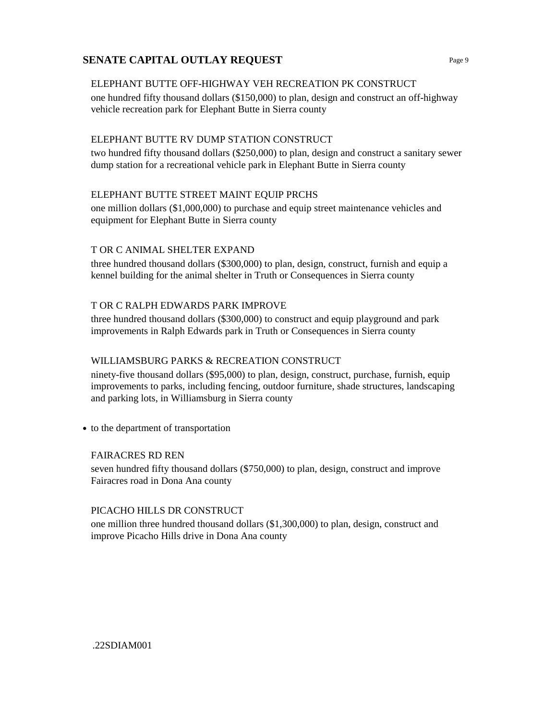#### ELEPHANT BUTTE OFF-HIGHWAY VEH RECREATION PK CONSTRUCT

one hundred fifty thousand dollars (\$150,000) to plan, design and construct an off-highway vehicle recreation park for Elephant Butte in Sierra county

### ELEPHANT BUTTE RV DUMP STATION CONSTRUCT

two hundred fifty thousand dollars (\$250,000) to plan, design and construct a sanitary sewer dump station for a recreational vehicle park in Elephant Butte in Sierra county

## ELEPHANT BUTTE STREET MAINT EQUIP PRCHS

one million dollars (\$1,000,000) to purchase and equip street maintenance vehicles and equipment for Elephant Butte in Sierra county

## T OR C ANIMAL SHELTER EXPAND

three hundred thousand dollars (\$300,000) to plan, design, construct, furnish and equip a kennel building for the animal shelter in Truth or Consequences in Sierra county

#### T OR C RALPH EDWARDS PARK IMPROVE

three hundred thousand dollars (\$300,000) to construct and equip playground and park improvements in Ralph Edwards park in Truth or Consequences in Sierra county

#### WILLIAMSBURG PARKS & RECREATION CONSTRUCT

ninety-five thousand dollars (\$95,000) to plan, design, construct, purchase, furnish, equip improvements to parks, including fencing, outdoor furniture, shade structures, landscaping and parking lots, in Williamsburg in Sierra county

**•** to the department of transportation

#### FAIRACRES RD REN

seven hundred fifty thousand dollars (\$750,000) to plan, design, construct and improve Fairacres road in Dona Ana county

#### PICACHO HILLS DR CONSTRUCT

one million three hundred thousand dollars (\$1,300,000) to plan, design, construct and improve Picacho Hills drive in Dona Ana county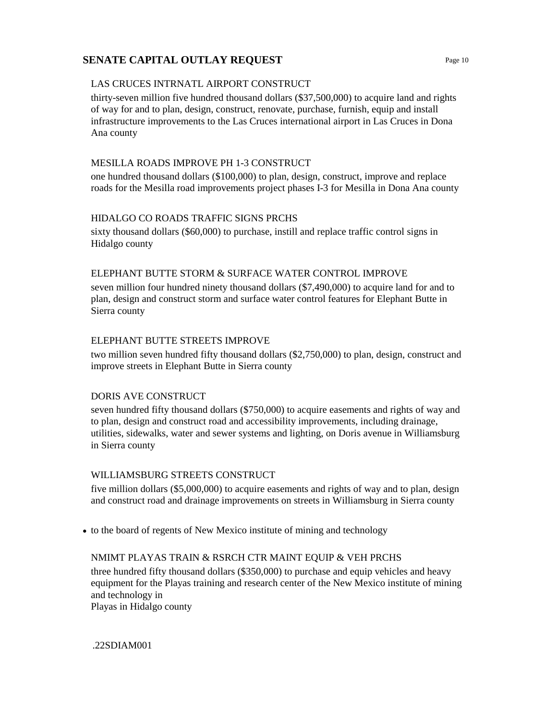### LAS CRUCES INTRNATL AIRPORT CONSTRUCT

thirty-seven million five hundred thousand dollars (\$37,500,000) to acquire land and rights of way for and to plan, design, construct, renovate, purchase, furnish, equip and install infrastructure improvements to the Las Cruces international airport in Las Cruces in Dona Ana county

## MESILLA ROADS IMPROVE PH 1-3 CONSTRUCT

one hundred thousand dollars (\$100,000) to plan, design, construct, improve and replace roads for the Mesilla road improvements project phases I-3 for Mesilla in Dona Ana county

## HIDALGO CO ROADS TRAFFIC SIGNS PRCHS

sixty thousand dollars (\$60,000) to purchase, instill and replace traffic control signs in Hidalgo county

## ELEPHANT BUTTE STORM & SURFACE WATER CONTROL IMPROVE

seven million four hundred ninety thousand dollars (\$7,490,000) to acquire land for and to plan, design and construct storm and surface water control features for Elephant Butte in Sierra county

## ELEPHANT BUTTE STREETS IMPROVE

two million seven hundred fifty thousand dollars (\$2,750,000) to plan, design, construct and improve streets in Elephant Butte in Sierra county

#### DORIS AVE CONSTRUCT

seven hundred fifty thousand dollars (\$750,000) to acquire easements and rights of way and to plan, design and construct road and accessibility improvements, including drainage, utilities, sidewalks, water and sewer systems and lighting, on Doris avenue in Williamsburg in Sierra county

#### WILLIAMSBURG STREETS CONSTRUCT

five million dollars (\$5,000,000) to acquire easements and rights of way and to plan, design and construct road and drainage improvements on streets in Williamsburg in Sierra county

• to the board of regents of New Mexico institute of mining and technology

## NMIMT PLAYAS TRAIN & RSRCH CTR MAINT EQUIP & VEH PRCHS

three hundred fifty thousand dollars (\$350,000) to purchase and equip vehicles and heavy equipment for the Playas training and research center of the New Mexico institute of mining and technology in

Playas in Hidalgo county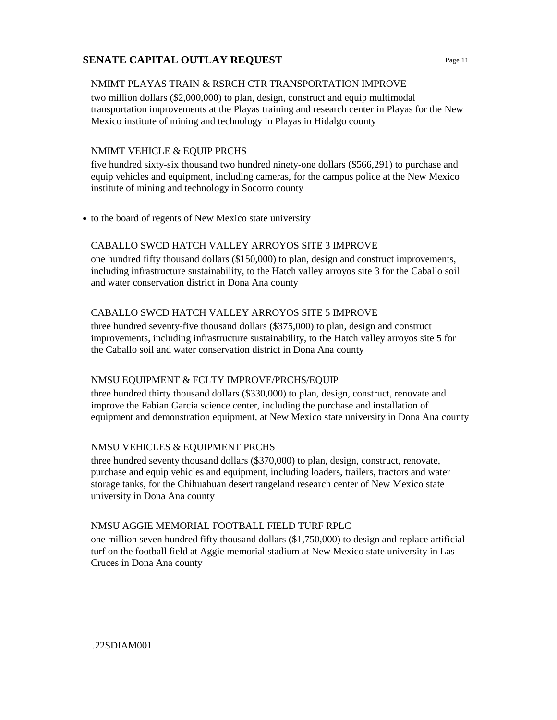#### NMIMT PLAYAS TRAIN & RSRCH CTR TRANSPORTATION IMPROVE

two million dollars (\$2,000,000) to plan, design, construct and equip multimodal transportation improvements at the Playas training and research center in Playas for the New Mexico institute of mining and technology in Playas in Hidalgo county

### NMIMT VEHICLE & EQUIP PRCHS

five hundred sixty-six thousand two hundred ninety-one dollars (\$566,291) to purchase and equip vehicles and equipment, including cameras, for the campus police at the New Mexico institute of mining and technology in Socorro county

**•** to the board of regents of New Mexico state university

## CABALLO SWCD HATCH VALLEY ARROYOS SITE 3 IMPROVE

one hundred fifty thousand dollars (\$150,000) to plan, design and construct improvements, including infrastructure sustainability, to the Hatch valley arroyos site 3 for the Caballo soil and water conservation district in Dona Ana county

## CABALLO SWCD HATCH VALLEY ARROYOS SITE 5 IMPROVE

three hundred seventy-five thousand dollars (\$375,000) to plan, design and construct improvements, including infrastructure sustainability, to the Hatch valley arroyos site 5 for the Caballo soil and water conservation district in Dona Ana county

#### NMSU EQUIPMENT & FCLTY IMPROVE/PRCHS/EQUIP

three hundred thirty thousand dollars (\$330,000) to plan, design, construct, renovate and improve the Fabian Garcia science center, including the purchase and installation of equipment and demonstration equipment, at New Mexico state university in Dona Ana county

#### NMSU VEHICLES & EQUIPMENT PRCHS

three hundred seventy thousand dollars (\$370,000) to plan, design, construct, renovate, purchase and equip vehicles and equipment, including loaders, trailers, tractors and water storage tanks, for the Chihuahuan desert rangeland research center of New Mexico state university in Dona Ana county

#### NMSU AGGIE MEMORIAL FOOTBALL FIELD TURF RPLC

one million seven hundred fifty thousand dollars (\$1,750,000) to design and replace artificial turf on the football field at Aggie memorial stadium at New Mexico state university in Las Cruces in Dona Ana county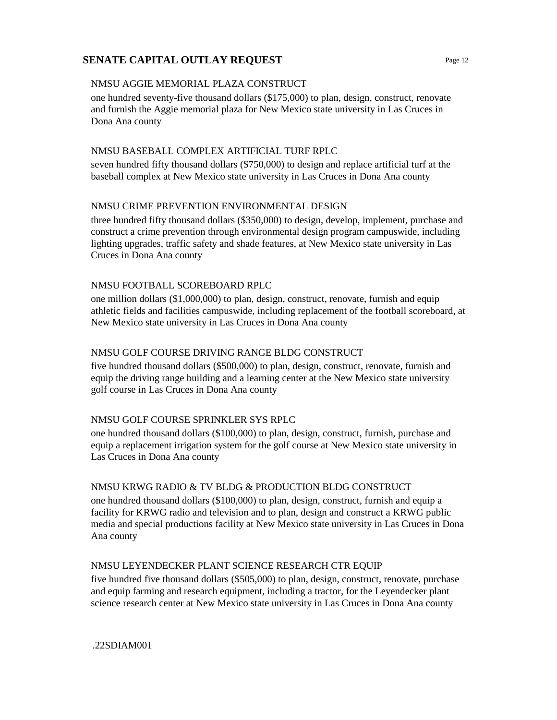### NMSU AGGIE MEMORIAL PLAZA CONSTRUCT

one hundred seventy-five thousand dollars (\$175,000) to plan, design, construct, renovate and furnish the Aggie memorial plaza for New Mexico state university in Las Cruces in Dona Ana county

### NMSU BASEBALL COMPLEX ARTIFICIAL TURF RPLC

seven hundred fifty thousand dollars (\$750,000) to design and replace artificial turf at the baseball complex at New Mexico state university in Las Cruces in Dona Ana county

## NMSU CRIME PREVENTION ENVIRONMENTAL DESIGN

three hundred fifty thousand dollars (\$350,000) to design, develop, implement, purchase and construct a crime prevention through environmental design program campuswide, including lighting upgrades, traffic safety and shade features, at New Mexico state university in Las Cruces in Dona Ana county

## NMSU FOOTBALL SCOREBOARD RPLC

one million dollars (\$1,000,000) to plan, design, construct, renovate, furnish and equip athletic fields and facilities campuswide, including replacement of the football scoreboard, at New Mexico state university in Las Cruces in Dona Ana county

## NMSU GOLF COURSE DRIVING RANGE BLDG CONSTRUCT

five hundred thousand dollars (\$500,000) to plan, design, construct, renovate, furnish and equip the driving range building and a learning center at the New Mexico state university golf course in Las Cruces in Dona Ana county

#### NMSU GOLF COURSE SPRINKLER SYS RPLC

one hundred thousand dollars (\$100,000) to plan, design, construct, furnish, purchase and equip a replacement irrigation system for the golf course at New Mexico state university in Las Cruces in Dona Ana county

#### NMSU KRWG RADIO & TV BLDG & PRODUCTION BLDG CONSTRUCT

one hundred thousand dollars (\$100,000) to plan, design, construct, furnish and equip a facility for KRWG radio and television and to plan, design and construct a KRWG public media and special productions facility at New Mexico state university in Las Cruces in Dona Ana county

## NMSU LEYENDECKER PLANT SCIENCE RESEARCH CTR EQUIP

five hundred five thousand dollars (\$505,000) to plan, design, construct, renovate, purchase and equip farming and research equipment, including a tractor, for the Leyendecker plant science research center at New Mexico state university in Las Cruces in Dona Ana county